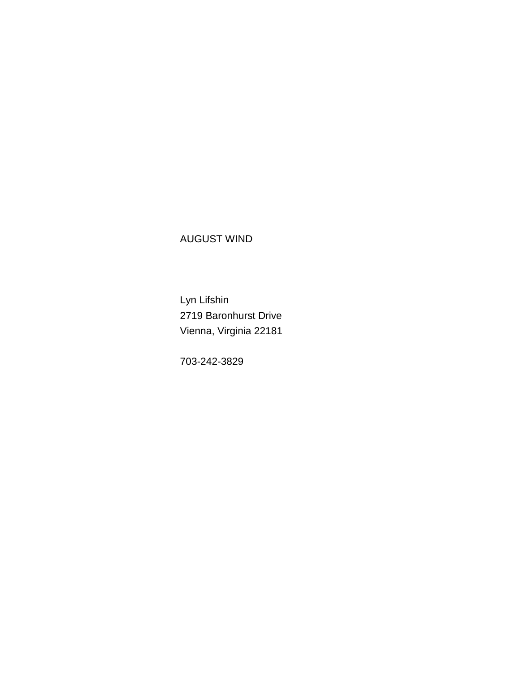## AUGUST WIND

 Lyn Lifshin 2719 Baronhurst Drive Vienna, Virginia 22181

703-242-3829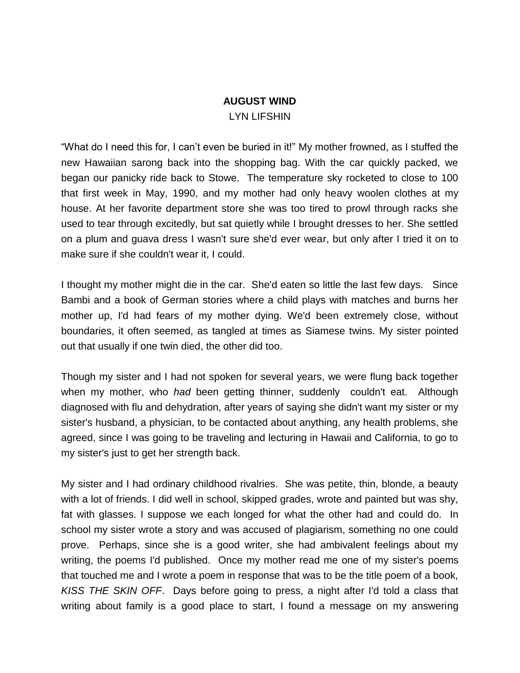## **AUGUST WIND** LYN LIFSHIN

"What do I need this for, I can't even be buried in it!" My mother frowned, as I stuffed the new Hawaiian sarong back into the shopping bag. With the car quickly packed, we began our panicky ride back to Stowe. The temperature sky rocketed to close to 100 that first week in May, 1990, and my mother had only heavy woolen clothes at my house. At her favorite department store she was too tired to prowl through racks she used to tear through excitedly, but sat quietly while I brought dresses to her. She settled on a plum and guava dress I wasn't sure she'd ever wear, but only after I tried it on to make sure if she couldn't wear it, I could.

I thought my mother might die in the car. She'd eaten so little the last few days. Since Bambi and a book of German stories where a child plays with matches and burns her mother up, I'd had fears of my mother dying. We'd been extremely close, without boundaries, it often seemed, as tangled at times as Siamese twins. My sister pointed out that usually if one twin died, the other did too.

Though my sister and I had not spoken for several years, we were flung back together when my mother, who *had* been getting thinner, suddenly couldn't eat. Although diagnosed with flu and dehydration, after years of saying she didn't want my sister or my sister's husband, a physician, to be contacted about anything, any health problems, she agreed, since I was going to be traveling and lecturing in Hawaii and California, to go to my sister's just to get her strength back.

My sister and I had ordinary childhood rivalries. She was petite, thin, blonde, a beauty with a lot of friends. I did well in school, skipped grades, wrote and painted but was shy, fat with glasses. I suppose we each longed for what the other had and could do. In school my sister wrote a story and was accused of plagiarism, something no one could prove. Perhaps, since she is a good writer, she had ambivalent feelings about my writing, the poems I'd published. Once my mother read me one of my sister's poems that touched me and I wrote a poem in response that was to be the title poem of a book, *KISS THE SKIN OFF*. Days before going to press, a night after I'd told a class that writing about family is a good place to start, I found a message on my answering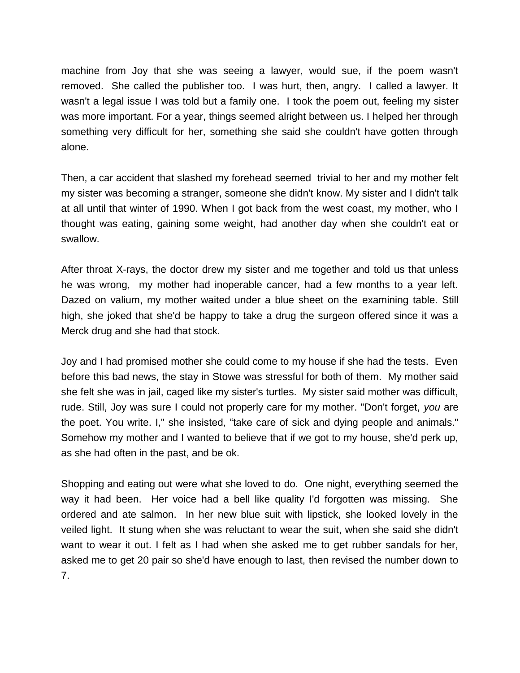machine from Joy that she was seeing a lawyer, would sue, if the poem wasn't removed. She called the publisher too. I was hurt, then, angry. I called a lawyer. It wasn't a legal issue I was told but a family one. I took the poem out, feeling my sister was more important. For a year, things seemed alright between us. I helped her through something very difficult for her, something she said she couldn't have gotten through alone.

Then, a car accident that slashed my forehead seemed trivial to her and my mother felt my sister was becoming a stranger, someone she didn't know. My sister and I didn't talk at all until that winter of 1990. When I got back from the west coast, my mother, who I thought was eating, gaining some weight, had another day when she couldn't eat or swallow.

After throat X-rays, the doctor drew my sister and me together and told us that unless he was wrong, my mother had inoperable cancer, had a few months to a year left. Dazed on valium, my mother waited under a blue sheet on the examining table. Still high, she joked that she'd be happy to take a drug the surgeon offered since it was a Merck drug and she had that stock.

Joy and I had promised mother she could come to my house if she had the tests. Even before this bad news, the stay in Stowe was stressful for both of them. My mother said she felt she was in jail, caged like my sister's turtles. My sister said mother was difficult, rude. Still, Joy was sure I could not properly care for my mother. "Don't forget, *you* are the poet. You write. I," she insisted, "take care of sick and dying people and animals." Somehow my mother and I wanted to believe that if we got to my house, she'd perk up, as she had often in the past, and be ok.

Shopping and eating out were what she loved to do. One night, everything seemed the way it had been. Her voice had a bell like quality I'd forgotten was missing. She ordered and ate salmon. In her new blue suit with lipstick, she looked lovely in the veiled light. It stung when she was reluctant to wear the suit, when she said she didn't want to wear it out. I felt as I had when she asked me to get rubber sandals for her, asked me to get 20 pair so she'd have enough to last, then revised the number down to 7.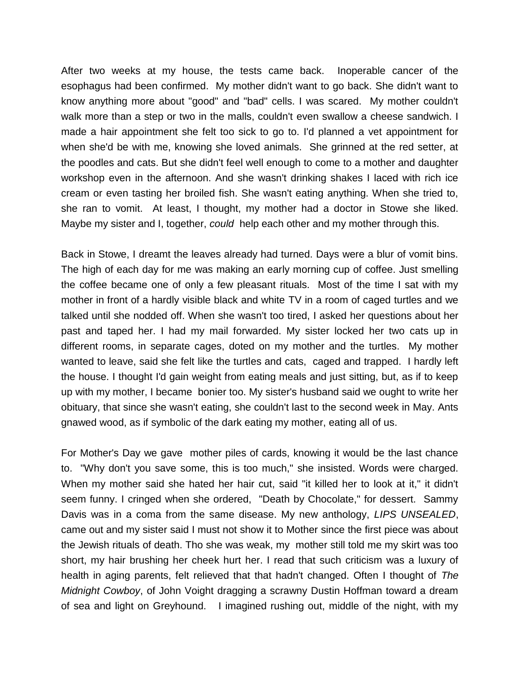After two weeks at my house, the tests came back. Inoperable cancer of the esophagus had been confirmed. My mother didn't want to go back. She didn't want to know anything more about "good" and "bad" cells. I was scared. My mother couldn't walk more than a step or two in the malls, couldn't even swallow a cheese sandwich. I made a hair appointment she felt too sick to go to. I'd planned a vet appointment for when she'd be with me, knowing she loved animals. She grinned at the red setter, at the poodles and cats. But she didn't feel well enough to come to a mother and daughter workshop even in the afternoon. And she wasn't drinking shakes I laced with rich ice cream or even tasting her broiled fish. She wasn't eating anything. When she tried to, she ran to vomit. At least, I thought, my mother had a doctor in Stowe she liked. Maybe my sister and I, together, *could* help each other and my mother through this.

Back in Stowe, I dreamt the leaves already had turned. Days were a blur of vomit bins. The high of each day for me was making an early morning cup of coffee. Just smelling the coffee became one of only a few pleasant rituals. Most of the time I sat with my mother in front of a hardly visible black and white TV in a room of caged turtles and we talked until she nodded off. When she wasn't too tired, I asked her questions about her past and taped her. I had my mail forwarded. My sister locked her two cats up in different rooms, in separate cages, doted on my mother and the turtles. My mother wanted to leave, said she felt like the turtles and cats, caged and trapped. I hardly left the house. I thought I'd gain weight from eating meals and just sitting, but, as if to keep up with my mother, I became bonier too. My sister's husband said we ought to write her obituary, that since she wasn't eating, she couldn't last to the second week in May. Ants gnawed wood, as if symbolic of the dark eating my mother, eating all of us.

For Mother's Day we gave mother piles of cards, knowing it would be the last chance to. "Why don't you save some, this is too much," she insisted. Words were charged. When my mother said she hated her hair cut, said "it killed her to look at it," it didn't seem funny. I cringed when she ordered, "Death by Chocolate," for dessert. Sammy Davis was in a coma from the same disease. My new anthology, *LIPS UNSEALED*, came out and my sister said I must not show it to Mother since the first piece was about the Jewish rituals of death. Tho she was weak, my mother still told me my skirt was too short, my hair brushing her cheek hurt her. I read that such criticism was a luxury of health in aging parents, felt relieved that that hadn't changed. Often I thought of *The Midnight Cowboy*, of John Voight dragging a scrawny Dustin Hoffman toward a dream of sea and light on Greyhound. I imagined rushing out, middle of the night, with my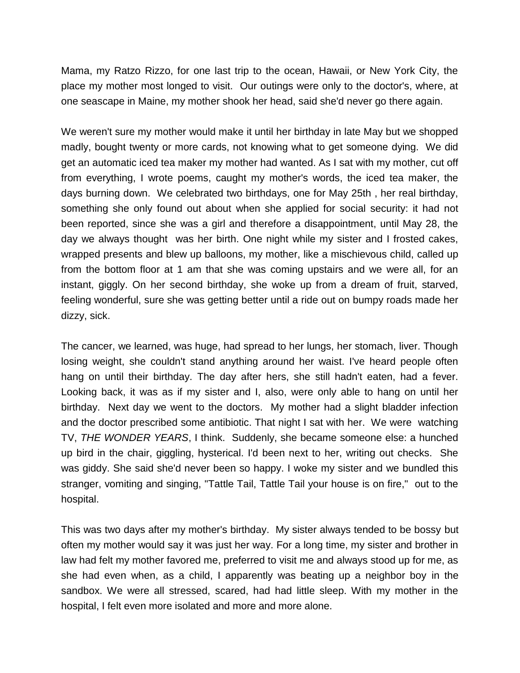Mama, my Ratzo Rizzo, for one last trip to the ocean, Hawaii, or New York City, the place my mother most longed to visit. Our outings were only to the doctor's, where, at one seascape in Maine, my mother shook her head, said she'd never go there again.

We weren't sure my mother would make it until her birthday in late May but we shopped madly, bought twenty or more cards, not knowing what to get someone dying. We did get an automatic iced tea maker my mother had wanted. As I sat with my mother, cut off from everything, I wrote poems, caught my mother's words, the iced tea maker, the days burning down. We celebrated two birthdays, one for May 25th , her real birthday, something she only found out about when she applied for social security: it had not been reported, since she was a girl and therefore a disappointment, until May 28, the day we always thought was her birth. One night while my sister and I frosted cakes, wrapped presents and blew up balloons, my mother, like a mischievous child, called up from the bottom floor at 1 am that she was coming upstairs and we were all, for an instant, giggly. On her second birthday, she woke up from a dream of fruit, starved, feeling wonderful, sure she was getting better until a ride out on bumpy roads made her dizzy, sick.

The cancer, we learned, was huge, had spread to her lungs, her stomach, liver. Though losing weight, she couldn't stand anything around her waist. I've heard people often hang on until their birthday. The day after hers, she still hadn't eaten, had a fever. Looking back, it was as if my sister and I, also, were only able to hang on until her birthday. Next day we went to the doctors. My mother had a slight bladder infection and the doctor prescribed some antibiotic. That night I sat with her. We were watching TV, *THE WONDER YEARS*, I think. Suddenly, she became someone else: a hunched up bird in the chair, giggling, hysterical. I'd been next to her, writing out checks. She was giddy. She said she'd never been so happy. I woke my sister and we bundled this stranger, vomiting and singing, "Tattle Tail, Tattle Tail your house is on fire," out to the hospital.

This was two days after my mother's birthday. My sister always tended to be bossy but often my mother would say it was just her way. For a long time, my sister and brother in law had felt my mother favored me, preferred to visit me and always stood up for me, as she had even when, as a child, I apparently was beating up a neighbor boy in the sandbox. We were all stressed, scared, had had little sleep. With my mother in the hospital, I felt even more isolated and more and more alone.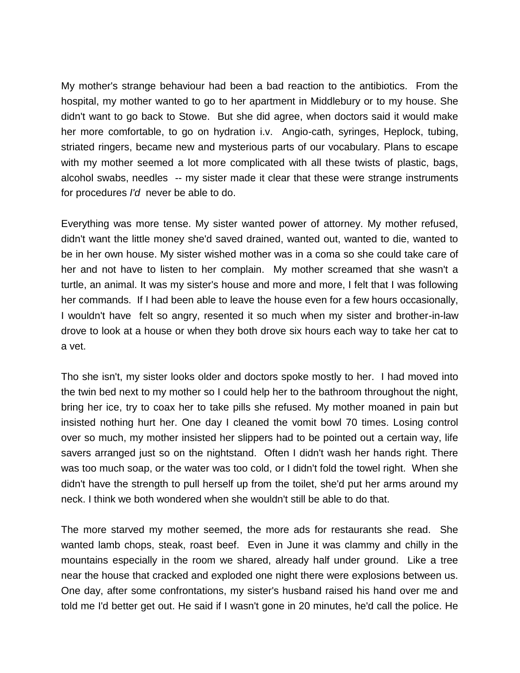My mother's strange behaviour had been a bad reaction to the antibiotics. From the hospital, my mother wanted to go to her apartment in Middlebury or to my house. She didn't want to go back to Stowe. But she did agree, when doctors said it would make her more comfortable, to go on hydration i.v. Angio-cath, syringes, Heplock, tubing, striated ringers, became new and mysterious parts of our vocabulary. Plans to escape with my mother seemed a lot more complicated with all these twists of plastic, bags, alcohol swabs, needles -- my sister made it clear that these were strange instruments for procedures *I'd* never be able to do.

Everything was more tense. My sister wanted power of attorney. My mother refused, didn't want the little money she'd saved drained, wanted out, wanted to die, wanted to be in her own house. My sister wished mother was in a coma so she could take care of her and not have to listen to her complain. My mother screamed that she wasn't a turtle, an animal. It was my sister's house and more and more, I felt that I was following her commands. If I had been able to leave the house even for a few hours occasionally, I wouldn't have felt so angry, resented it so much when my sister and brother-in-law drove to look at a house or when they both drove six hours each way to take her cat to a vet.

Tho she isn't, my sister looks older and doctors spoke mostly to her. I had moved into the twin bed next to my mother so I could help her to the bathroom throughout the night, bring her ice, try to coax her to take pills she refused. My mother moaned in pain but insisted nothing hurt her. One day I cleaned the vomit bowl 70 times. Losing control over so much, my mother insisted her slippers had to be pointed out a certain way, life savers arranged just so on the nightstand. Often I didn't wash her hands right. There was too much soap, or the water was too cold, or I didn't fold the towel right. When she didn't have the strength to pull herself up from the toilet, she'd put her arms around my neck. I think we both wondered when she wouldn't still be able to do that.

The more starved my mother seemed, the more ads for restaurants she read. She wanted lamb chops, steak, roast beef. Even in June it was clammy and chilly in the mountains especially in the room we shared, already half under ground. Like a tree near the house that cracked and exploded one night there were explosions between us. One day, after some confrontations, my sister's husband raised his hand over me and told me I'd better get out. He said if I wasn't gone in 20 minutes, he'd call the police. He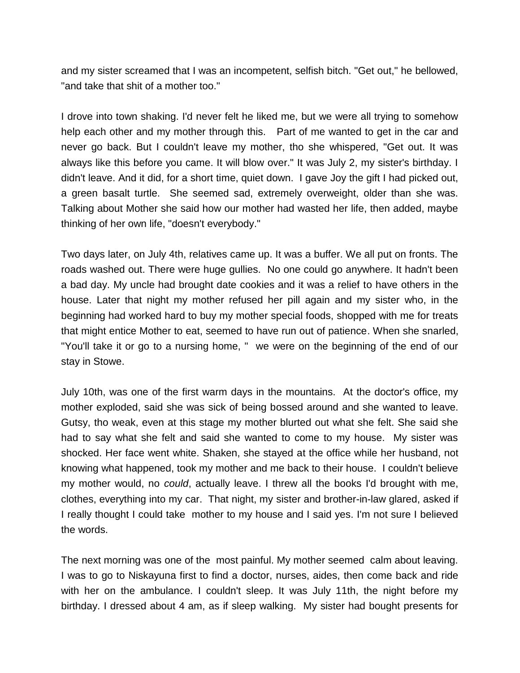and my sister screamed that I was an incompetent, selfish bitch. "Get out," he bellowed, "and take that shit of a mother too."

I drove into town shaking. I'd never felt he liked me, but we were all trying to somehow help each other and my mother through this. Part of me wanted to get in the car and never go back. But I couldn't leave my mother, tho she whispered, "Get out. It was always like this before you came. It will blow over." It was July 2, my sister's birthday. I didn't leave. And it did, for a short time, quiet down. I gave Joy the gift I had picked out, a green basalt turtle. She seemed sad, extremely overweight, older than she was. Talking about Mother she said how our mother had wasted her life, then added, maybe thinking of her own life, "doesn't everybody."

Two days later, on July 4th, relatives came up. It was a buffer. We all put on fronts. The roads washed out. There were huge gullies. No one could go anywhere. It hadn't been a bad day. My uncle had brought date cookies and it was a relief to have others in the house. Later that night my mother refused her pill again and my sister who, in the beginning had worked hard to buy my mother special foods, shopped with me for treats that might entice Mother to eat, seemed to have run out of patience. When she snarled, "You'll take it or go to a nursing home, " we were on the beginning of the end of our stay in Stowe.

July 10th, was one of the first warm days in the mountains. At the doctor's office, my mother exploded, said she was sick of being bossed around and she wanted to leave. Gutsy, tho weak, even at this stage my mother blurted out what she felt. She said she had to say what she felt and said she wanted to come to my house. My sister was shocked. Her face went white. Shaken, she stayed at the office while her husband, not knowing what happened, took my mother and me back to their house. I couldn't believe my mother would, no *could*, actually leave. I threw all the books I'd brought with me, clothes, everything into my car. That night, my sister and brother-in-law glared, asked if I really thought I could take mother to my house and I said yes. I'm not sure I believed the words.

The next morning was one of the most painful. My mother seemed calm about leaving. I was to go to Niskayuna first to find a doctor, nurses, aides, then come back and ride with her on the ambulance. I couldn't sleep. It was July 11th, the night before my birthday. I dressed about 4 am, as if sleep walking. My sister had bought presents for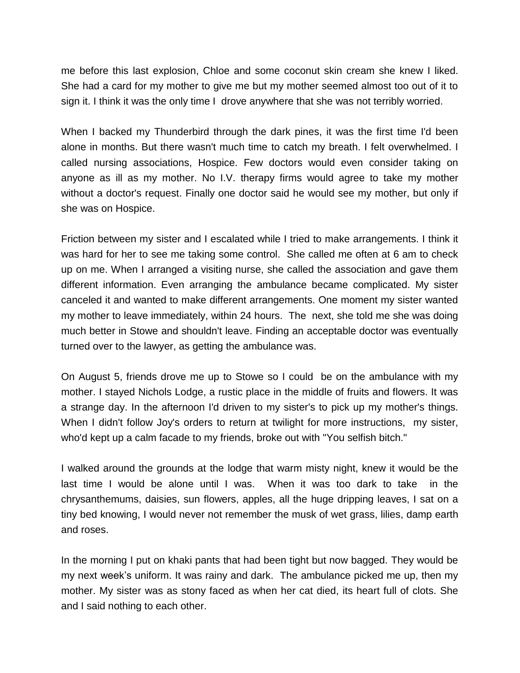me before this last explosion, Chloe and some coconut skin cream she knew I liked. She had a card for my mother to give me but my mother seemed almost too out of it to sign it. I think it was the only time I drove anywhere that she was not terribly worried.

When I backed my Thunderbird through the dark pines, it was the first time I'd been alone in months. But there wasn't much time to catch my breath. I felt overwhelmed. I called nursing associations, Hospice. Few doctors would even consider taking on anyone as ill as my mother. No I.V. therapy firms would agree to take my mother without a doctor's request. Finally one doctor said he would see my mother, but only if she was on Hospice.

Friction between my sister and I escalated while I tried to make arrangements. I think it was hard for her to see me taking some control. She called me often at 6 am to check up on me. When I arranged a visiting nurse, she called the association and gave them different information. Even arranging the ambulance became complicated. My sister canceled it and wanted to make different arrangements. One moment my sister wanted my mother to leave immediately, within 24 hours. The next, she told me she was doing much better in Stowe and shouldn't leave. Finding an acceptable doctor was eventually turned over to the lawyer, as getting the ambulance was.

On August 5, friends drove me up to Stowe so I could be on the ambulance with my mother. I stayed Nichols Lodge, a rustic place in the middle of fruits and flowers. It was a strange day. In the afternoon I'd driven to my sister's to pick up my mother's things. When I didn't follow Joy's orders to return at twilight for more instructions, my sister, who'd kept up a calm facade to my friends, broke out with "You selfish bitch."

I walked around the grounds at the lodge that warm misty night, knew it would be the last time I would be alone until I was. When it was too dark to take in the chrysanthemums, daisies, sun flowers, apples, all the huge dripping leaves, I sat on a tiny bed knowing, I would never not remember the musk of wet grass, lilies, damp earth and roses.

In the morning I put on khaki pants that had been tight but now bagged. They would be my next week's uniform. It was rainy and dark. The ambulance picked me up, then my mother. My sister was as stony faced as when her cat died, its heart full of clots. She and I said nothing to each other.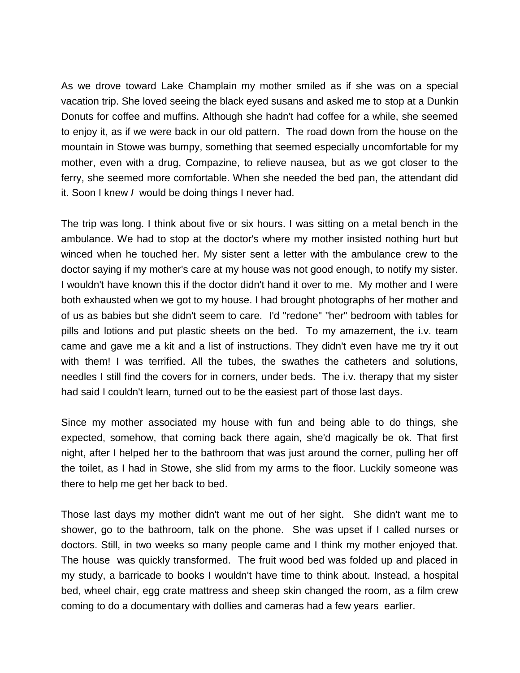As we drove toward Lake Champlain my mother smiled as if she was on a special vacation trip. She loved seeing the black eyed susans and asked me to stop at a Dunkin Donuts for coffee and muffins. Although she hadn't had coffee for a while, she seemed to enjoy it, as if we were back in our old pattern. The road down from the house on the mountain in Stowe was bumpy, something that seemed especially uncomfortable for my mother, even with a drug, Compazine, to relieve nausea, but as we got closer to the ferry, she seemed more comfortable. When she needed the bed pan, the attendant did it. Soon I knew *I* would be doing things I never had.

The trip was long. I think about five or six hours. I was sitting on a metal bench in the ambulance. We had to stop at the doctor's where my mother insisted nothing hurt but winced when he touched her. My sister sent a letter with the ambulance crew to the doctor saying if my mother's care at my house was not good enough, to notify my sister. I wouldn't have known this if the doctor didn't hand it over to me. My mother and I were both exhausted when we got to my house. I had brought photographs of her mother and of us as babies but she didn't seem to care. I'd "redone" "her" bedroom with tables for pills and lotions and put plastic sheets on the bed. To my amazement, the i.v. team came and gave me a kit and a list of instructions. They didn't even have me try it out with them! I was terrified. All the tubes, the swathes the catheters and solutions, needles I still find the covers for in corners, under beds. The i.v. therapy that my sister had said I couldn't learn, turned out to be the easiest part of those last days.

Since my mother associated my house with fun and being able to do things, she expected, somehow, that coming back there again, she'd magically be ok. That first night, after I helped her to the bathroom that was just around the corner, pulling her off the toilet, as I had in Stowe, she slid from my arms to the floor. Luckily someone was there to help me get her back to bed.

Those last days my mother didn't want me out of her sight. She didn't want me to shower, go to the bathroom, talk on the phone. She was upset if I called nurses or doctors. Still, in two weeks so many people came and I think my mother enjoyed that. The house was quickly transformed. The fruit wood bed was folded up and placed in my study, a barricade to books I wouldn't have time to think about. Instead, a hospital bed, wheel chair, egg crate mattress and sheep skin changed the room, as a film crew coming to do a documentary with dollies and cameras had a few years earlier.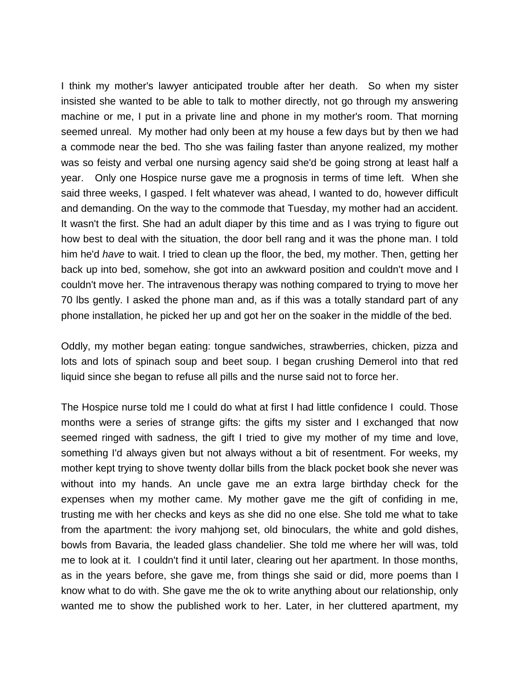I think my mother's lawyer anticipated trouble after her death. So when my sister insisted she wanted to be able to talk to mother directly, not go through my answering machine or me, I put in a private line and phone in my mother's room. That morning seemed unreal. My mother had only been at my house a few days but by then we had a commode near the bed. Tho she was failing faster than anyone realized, my mother was so feisty and verbal one nursing agency said she'd be going strong at least half a year. Only one Hospice nurse gave me a prognosis in terms of time left. When she said three weeks, I gasped. I felt whatever was ahead, I wanted to do, however difficult and demanding. On the way to the commode that Tuesday, my mother had an accident. It wasn't the first. She had an adult diaper by this time and as I was trying to figure out how best to deal with the situation, the door bell rang and it was the phone man. I told him he'd *have* to wait. I tried to clean up the floor, the bed, my mother. Then, getting her back up into bed, somehow, she got into an awkward position and couldn't move and I couldn't move her. The intravenous therapy was nothing compared to trying to move her 70 lbs gently. I asked the phone man and, as if this was a totally standard part of any phone installation, he picked her up and got her on the soaker in the middle of the bed.

Oddly, my mother began eating: tongue sandwiches, strawberries, chicken, pizza and lots and lots of spinach soup and beet soup. I began crushing Demerol into that red liquid since she began to refuse all pills and the nurse said not to force her.

The Hospice nurse told me I could do what at first I had little confidence I could. Those months were a series of strange gifts: the gifts my sister and I exchanged that now seemed ringed with sadness, the gift I tried to give my mother of my time and love, something I'd always given but not always without a bit of resentment. For weeks, my mother kept trying to shove twenty dollar bills from the black pocket book she never was without into my hands. An uncle gave me an extra large birthday check for the expenses when my mother came. My mother gave me the gift of confiding in me, trusting me with her checks and keys as she did no one else. She told me what to take from the apartment: the ivory mahjong set, old binoculars, the white and gold dishes, bowls from Bavaria, the leaded glass chandelier. She told me where her will was, told me to look at it. I couldn't find it until later, clearing out her apartment. In those months, as in the years before, she gave me, from things she said or did, more poems than I know what to do with. She gave me the ok to write anything about our relationship, only wanted me to show the published work to her. Later, in her cluttered apartment, my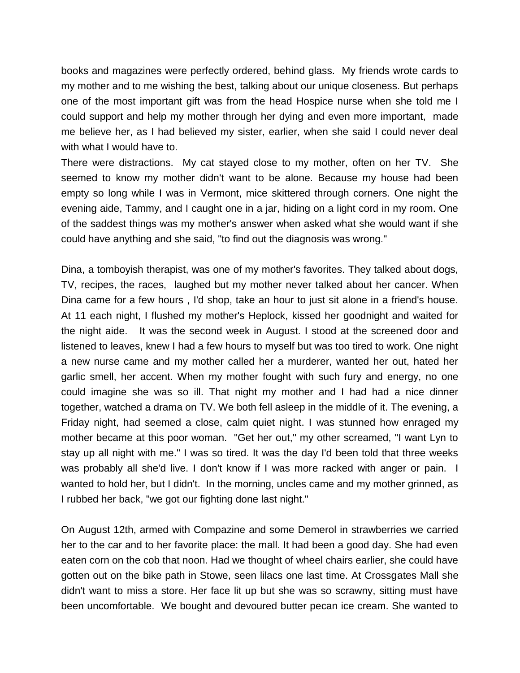books and magazines were perfectly ordered, behind glass. My friends wrote cards to my mother and to me wishing the best, talking about our unique closeness. But perhaps one of the most important gift was from the head Hospice nurse when she told me I could support and help my mother through her dying and even more important, made me believe her, as I had believed my sister, earlier, when she said I could never deal with what I would have to.

There were distractions. My cat stayed close to my mother, often on her TV. She seemed to know my mother didn't want to be alone. Because my house had been empty so long while I was in Vermont, mice skittered through corners. One night the evening aide, Tammy, and I caught one in a jar, hiding on a light cord in my room. One of the saddest things was my mother's answer when asked what she would want if she could have anything and she said, "to find out the diagnosis was wrong."

Dina, a tomboyish therapist, was one of my mother's favorites. They talked about dogs, TV, recipes, the races, laughed but my mother never talked about her cancer. When Dina came for a few hours , I'd shop, take an hour to just sit alone in a friend's house. At 11 each night, I flushed my mother's Heplock, kissed her goodnight and waited for the night aide. It was the second week in August. I stood at the screened door and listened to leaves, knew I had a few hours to myself but was too tired to work. One night a new nurse came and my mother called her a murderer, wanted her out, hated her garlic smell, her accent. When my mother fought with such fury and energy, no one could imagine she was so ill. That night my mother and I had had a nice dinner together, watched a drama on TV. We both fell asleep in the middle of it. The evening, a Friday night, had seemed a close, calm quiet night. I was stunned how enraged my mother became at this poor woman. "Get her out," my other screamed, "I want Lyn to stay up all night with me." I was so tired. It was the day I'd been told that three weeks was probably all she'd live. I don't know if I was more racked with anger or pain. I wanted to hold her, but I didn't. In the morning, uncles came and my mother grinned, as I rubbed her back, "we got our fighting done last night."

On August 12th, armed with Compazine and some Demerol in strawberries we carried her to the car and to her favorite place: the mall. It had been a good day. She had even eaten corn on the cob that noon. Had we thought of wheel chairs earlier, she could have gotten out on the bike path in Stowe, seen lilacs one last time. At Crossgates Mall she didn't want to miss a store. Her face lit up but she was so scrawny, sitting must have been uncomfortable. We bought and devoured butter pecan ice cream. She wanted to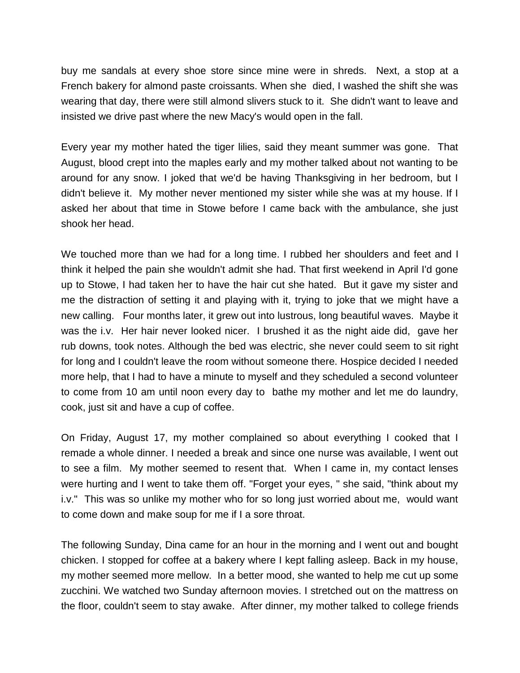buy me sandals at every shoe store since mine were in shreds. Next, a stop at a French bakery for almond paste croissants. When she died, I washed the shift she was wearing that day, there were still almond slivers stuck to it. She didn't want to leave and insisted we drive past where the new Macy's would open in the fall.

Every year my mother hated the tiger lilies, said they meant summer was gone. That August, blood crept into the maples early and my mother talked about not wanting to be around for any snow. I joked that we'd be having Thanksgiving in her bedroom, but I didn't believe it. My mother never mentioned my sister while she was at my house. If I asked her about that time in Stowe before I came back with the ambulance, she just shook her head.

We touched more than we had for a long time. I rubbed her shoulders and feet and I think it helped the pain she wouldn't admit she had. That first weekend in April I'd gone up to Stowe, I had taken her to have the hair cut she hated. But it gave my sister and me the distraction of setting it and playing with it, trying to joke that we might have a new calling. Four months later, it grew out into lustrous, long beautiful waves. Maybe it was the i.v. Her hair never looked nicer. I brushed it as the night aide did, gave her rub downs, took notes. Although the bed was electric, she never could seem to sit right for long and I couldn't leave the room without someone there. Hospice decided I needed more help, that I had to have a minute to myself and they scheduled a second volunteer to come from 10 am until noon every day to bathe my mother and let me do laundry, cook, just sit and have a cup of coffee.

On Friday, August 17, my mother complained so about everything I cooked that I remade a whole dinner. I needed a break and since one nurse was available, I went out to see a film. My mother seemed to resent that. When I came in, my contact lenses were hurting and I went to take them off. "Forget your eyes, " she said, "think about my i.v." This was so unlike my mother who for so long just worried about me, would want to come down and make soup for me if I a sore throat.

The following Sunday, Dina came for an hour in the morning and I went out and bought chicken. I stopped for coffee at a bakery where I kept falling asleep. Back in my house, my mother seemed more mellow. In a better mood, she wanted to help me cut up some zucchini. We watched two Sunday afternoon movies. I stretched out on the mattress on the floor, couldn't seem to stay awake. After dinner, my mother talked to college friends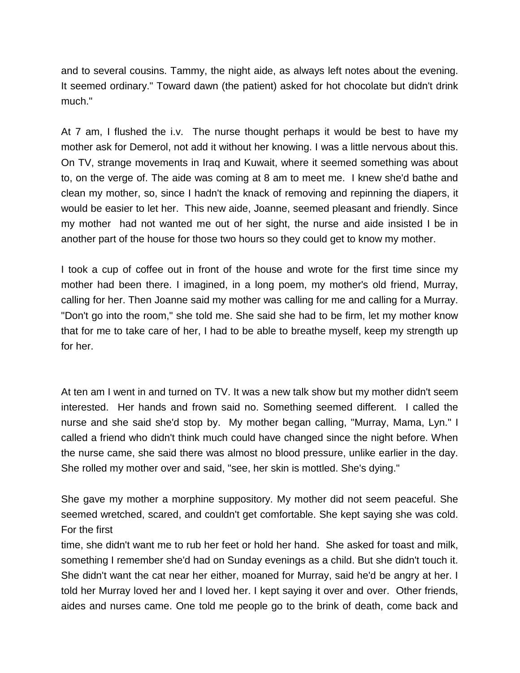and to several cousins. Tammy, the night aide, as always left notes about the evening. It seemed ordinary." Toward dawn (the patient) asked for hot chocolate but didn't drink much."

At 7 am, I flushed the i.v. The nurse thought perhaps it would be best to have my mother ask for Demerol, not add it without her knowing. I was a little nervous about this. On TV, strange movements in Iraq and Kuwait, where it seemed something was about to, on the verge of. The aide was coming at 8 am to meet me. I knew she'd bathe and clean my mother, so, since I hadn't the knack of removing and repinning the diapers, it would be easier to let her. This new aide, Joanne, seemed pleasant and friendly. Since my mother had not wanted me out of her sight, the nurse and aide insisted I be in another part of the house for those two hours so they could get to know my mother.

I took a cup of coffee out in front of the house and wrote for the first time since my mother had been there. I imagined, in a long poem, my mother's old friend, Murray, calling for her. Then Joanne said my mother was calling for me and calling for a Murray. "Don't go into the room," she told me. She said she had to be firm, let my mother know that for me to take care of her, I had to be able to breathe myself, keep my strength up for her.

At ten am I went in and turned on TV. It was a new talk show but my mother didn't seem interested. Her hands and frown said no. Something seemed different. I called the nurse and she said she'd stop by. My mother began calling, "Murray, Mama, Lyn." I called a friend who didn't think much could have changed since the night before. When the nurse came, she said there was almost no blood pressure, unlike earlier in the day. She rolled my mother over and said, "see, her skin is mottled. She's dying."

She gave my mother a morphine suppository. My mother did not seem peaceful. She seemed wretched, scared, and couldn't get comfortable. She kept saying she was cold. For the first

time, she didn't want me to rub her feet or hold her hand. She asked for toast and milk, something I remember she'd had on Sunday evenings as a child. But she didn't touch it. She didn't want the cat near her either, moaned for Murray, said he'd be angry at her. I told her Murray loved her and I loved her. I kept saying it over and over. Other friends, aides and nurses came. One told me people go to the brink of death, come back and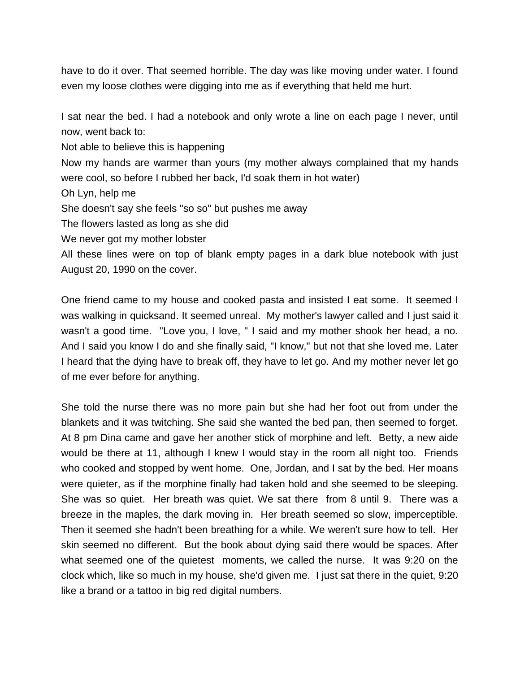have to do it over. That seemed horrible. The day was like moving under water. I found even my loose clothes were digging into me as if everything that held me hurt.

I sat near the bed. I had a notebook and only wrote a line on each page I never, until now, went back to:

Not able to believe this is happening

Now my hands are warmer than yours (my mother always complained that my hands were cool, so before I rubbed her back, I'd soak them in hot water)

- Oh Lyn, help me
- She doesn't say she feels "so so" but pushes me away

The flowers lasted as long as she did

We never got my mother lobster

All these lines were on top of blank empty pages in a dark blue notebook with just August 20, 1990 on the cover.

One friend came to my house and cooked pasta and insisted I eat some. It seemed I was walking in quicksand. It seemed unreal. My mother's lawyer called and I just said it wasn't a good time. "Love you, I love, " I said and my mother shook her head, a no. And I said you know I do and she finally said, "I know," but not that she loved me. Later I heard that the dying have to break off, they have to let go. And my mother never let go of me ever before for anything.

She told the nurse there was no more pain but she had her foot out from under the blankets and it was twitching. She said she wanted the bed pan, then seemed to forget. At 8 pm Dina came and gave her another stick of morphine and left. Betty, a new aide would be there at 11, although I knew I would stay in the room all night too. Friends who cooked and stopped by went home. One, Jordan, and I sat by the bed. Her moans were quieter, as if the morphine finally had taken hold and she seemed to be sleeping. She was so quiet. Her breath was quiet. We sat there from 8 until 9. There was a breeze in the maples, the dark moving in. Her breath seemed so slow, imperceptible. Then it seemed she hadn't been breathing for a while. We weren't sure how to tell. Her skin seemed no different. But the book about dying said there would be spaces. After what seemed one of the quietest moments, we called the nurse. It was 9:20 on the clock which, like so much in my house, she'd given me. I just sat there in the quiet, 9:20 like a brand or a tattoo in big red digital numbers.